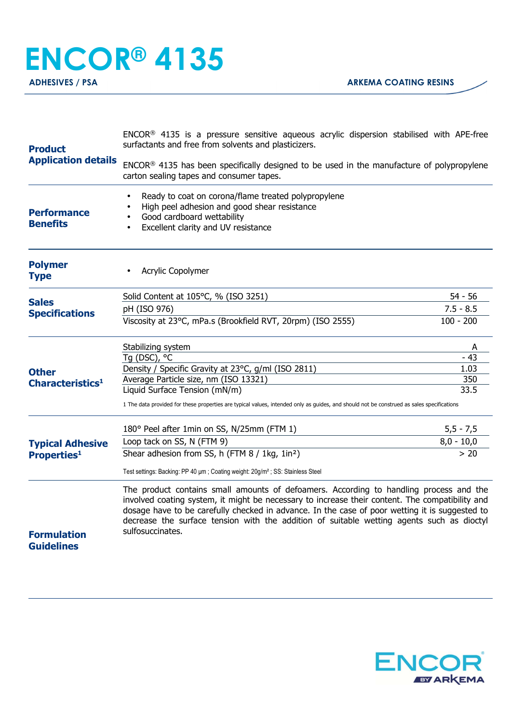## **ENCOR® 4135**

**ADHESIVES / PSA ARKEMA COATING RESINS** 

| <b>Product</b>                                | ENCOR <sup>®</sup> 4135 is a pressure sensitive aqueous acrylic dispersion stabilised with APE-free<br>surfactants and free from solvents and plasticizers.                                                                                                                                                                                                                              |              |  |
|-----------------------------------------------|------------------------------------------------------------------------------------------------------------------------------------------------------------------------------------------------------------------------------------------------------------------------------------------------------------------------------------------------------------------------------------------|--------------|--|
| <b>Application details</b>                    | ENCOR® 4135 has been specifically designed to be used in the manufacture of polypropylene<br>carton sealing tapes and consumer tapes.                                                                                                                                                                                                                                                    |              |  |
| <b>Performance</b><br><b>Benefits</b>         | Ready to coat on corona/flame treated polypropylene<br>$\bullet$<br>High peel adhesion and good shear resistance<br>Good cardboard wettability<br>Excellent clarity and UV resistance<br>$\bullet$                                                                                                                                                                                       |              |  |
| <b>Polymer</b><br><b>Type</b>                 | Acrylic Copolymer                                                                                                                                                                                                                                                                                                                                                                        |              |  |
|                                               | Solid Content at 105°C, % (ISO 3251)                                                                                                                                                                                                                                                                                                                                                     | $54 - 56$    |  |
| <b>Sales</b><br><b>Specifications</b>         | pH (ISO 976)                                                                                                                                                                                                                                                                                                                                                                             | $7.5 - 8.5$  |  |
| <b>Other</b><br>Characteristics <sup>1</sup>  | Viscosity at 23°C, mPa.s (Brookfield RVT, 20rpm) (ISO 2555)                                                                                                                                                                                                                                                                                                                              | $100 - 200$  |  |
|                                               | Stabilizing system                                                                                                                                                                                                                                                                                                                                                                       | A            |  |
|                                               | Tg (DSC), °C                                                                                                                                                                                                                                                                                                                                                                             | $-43$        |  |
|                                               | Density / Specific Gravity at 23°C, g/ml (ISO 2811)<br>Average Particle size, nm (ISO 13321)                                                                                                                                                                                                                                                                                             | 1.03<br>350  |  |
|                                               | Liquid Surface Tension (mN/m)                                                                                                                                                                                                                                                                                                                                                            | 33.5         |  |
| <b>Typical Adhesive</b><br><b>Properties1</b> | 1 The data provided for these properties are typical values, intended only as guides, and should not be construed as sales specifications                                                                                                                                                                                                                                                |              |  |
|                                               | 180° Peel after 1min on SS, N/25mm (FTM 1)                                                                                                                                                                                                                                                                                                                                               | $5,5 - 7,5$  |  |
|                                               | Loop tack on SS, N (FTM 9)                                                                                                                                                                                                                                                                                                                                                               | $8,0 - 10,0$ |  |
|                                               | Shear adhesion from SS, h (FTM 8 / 1kg, 1in <sup>2</sup> )                                                                                                                                                                                                                                                                                                                               | > 20         |  |
|                                               | Test settings: Backing: PP 40 µm; Coating weight: 20g/m <sup>2</sup> ; SS: Stainless Steel                                                                                                                                                                                                                                                                                               |              |  |
|                                               | The product contains small amounts of defoamers. According to handling process and the<br>involved coating system, it might be necessary to increase their content. The compatibility and<br>dosage have to be carefully checked in advance. In the case of poor wetting it is suggested to<br>decrease the surface tension with the addition of suitable wetting agents such as dioctyl |              |  |
| <b>Formulation</b><br><b>Guidelines</b>       | sulfosuccinates.                                                                                                                                                                                                                                                                                                                                                                         |              |  |